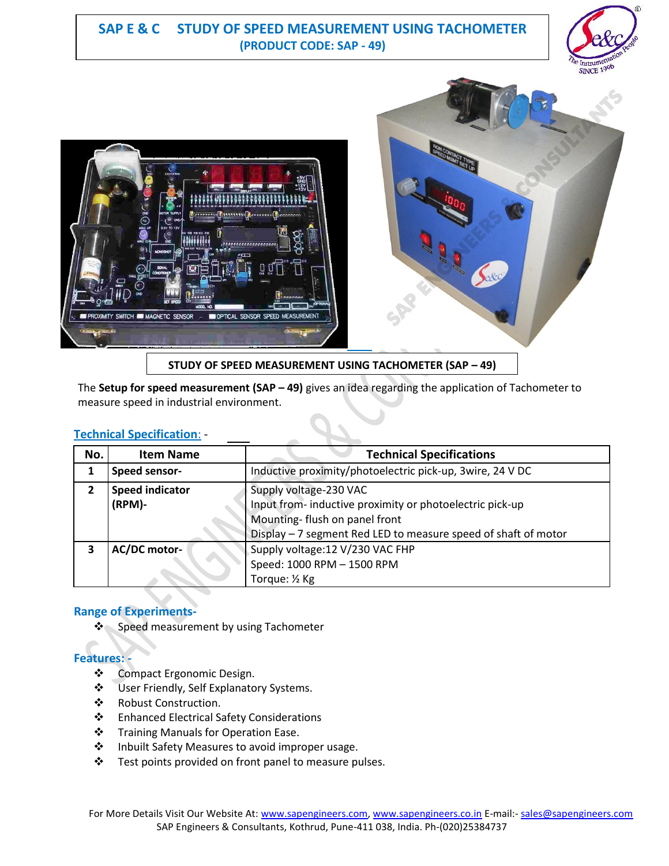# **SAP E & C STUDY OF SPEED MEASUREMENT USING TACHOMETER (PRODUCT CODE: SAP - 49)**





**STUDY OF SPEED MEASUREMENT USING TACHOMETER (SAP – 49)**

The **Setup for speed measurement (SAP – 49)** gives an idea regarding the application of Tachometer to measure speed in industrial environment.

|--|

| No. | <b>Item Name</b>       | <b>Technical Specifications</b>                                |
|-----|------------------------|----------------------------------------------------------------|
|     | Speed sensor-          | Inductive proximity/photoelectric pick-up, 3wire, 24 V DC      |
|     | <b>Speed indicator</b> | Supply voltage-230 VAC                                         |
|     | (RPM)-                 | Input from- inductive proximity or photoelectric pick-up       |
|     |                        | Mounting-flush on panel front                                  |
|     |                        | Display - 7 segment Red LED to measure speed of shaft of motor |
| 3   | AC/DC motor-           | Supply voltage: 12 V/230 VAC FHP                               |
|     |                        | Speed: 1000 RPM - 1500 RPM                                     |
|     |                        | Torque: 1/2 Kg                                                 |

## **Range of Experiments-**

❖ Speed measurement by using Tachometer

## **Features: -**

- Compact Ergonomic Design.
- User Friendly, Self Explanatory Systems.
- Robust Construction.
- Enhanced Electrical Safety Considerations
- ❖ Training Manuals for Operation Ease.
- ❖ Inbuilt Safety Measures to avoid improper usage.
- ❖ Test points provided on front panel to measure pulses.